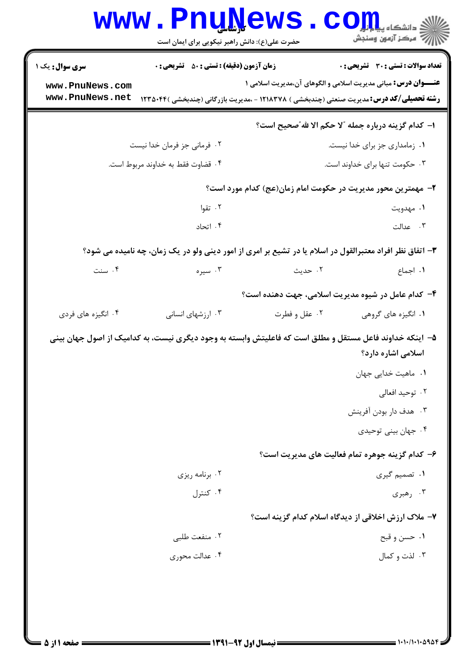| <b>سری سوال :</b> یک ۱ | <b>زمان آزمون (دقیقه) : تستی : 50 ٪ تشریحی : 0</b>                                                       |               | تعداد سوالات : تستي : 30 ٪ تشريحي : 0                                                           |
|------------------------|----------------------------------------------------------------------------------------------------------|---------------|-------------------------------------------------------------------------------------------------|
| www.PnuNews.com        |                                                                                                          |               | <b>عنـــوان درس:</b> مبانی مدیریت اسلامی و الگوهای آن،مدیریت اسلامی ۱                           |
| www.PnuNews.net        |                                                                                                          |               | <b>رشته تحصیلی/کد درس:</b> مدیریت صنعتی (چندبخشی ) ۱۲۱۸۳۷۸ - ،مدیریت بازرگانی (چندبخشی )۱۲۳۵۰۴۴ |
|                        |                                                                                                          |               | ا- كدام گزينه درباره جمله "لا حكم الا لله"صحيح است؟                                             |
|                        | ۰۲ فرمانی جز فرمان خدا نیست                                                                              |               | ٠١ زمامداري جز براي خدا نيست.                                                                   |
|                        | ۰۴ قضاوت فقط به خداوند مربوط است.                                                                        |               | ۰۳ حکومت تنها برای خداوند است.                                                                  |
|                        |                                                                                                          |               | ۲- مهمترین محور مدیریت در حکومت امام زمان(عج) کدام مورد است؟                                    |
|                        | ۰۲ تقوا                                                                                                  |               | ۱. مهدويت                                                                                       |
|                        | ۰۴ اتحاد                                                                                                 |               | ۰۳ عدالت                                                                                        |
|                        | ۳- اتفاق نظر افراد معتبرالقول در اسلام یا در تشیع بر امری از امور دینی ولو در یک زمان، چه نامیده می شود؟ |               |                                                                                                 |
| ۰۴ سنت                 | ۰۳ سیره                                                                                                  | ۲. حدیث       | ۰۱ اجماع                                                                                        |
|                        |                                                                                                          |               | ۴- کدام عامل در شیوه مدیریت اسلامی، جهت دهنده است؟                                              |
| ۰۴ انگیزه های فردی     | ۰۳ ارزشهای انسانی                                                                                        | ۰۲ عقل و فطرت | ۰۱ انگیزه های گروهی                                                                             |
|                        | ۵– ۱ینکه خداوند فاعل مستقل و مطلق است که فاعلیتش وابسته به وجود دیگری نیست، به کدامیک از اصول جهان بینی  |               |                                                                                                 |
|                        |                                                                                                          |               | اسلامی اشاره دارد؟                                                                              |
|                        |                                                                                                          |               | ۰۱ ماهیت خدایی جهان                                                                             |
|                        |                                                                                                          |               | ۰۲ توحید افعالی                                                                                 |
|                        |                                                                                                          |               | ۰۳ هدف دار بودن آفرينش                                                                          |
|                        |                                                                                                          |               | ۰۴ جهان بيني توحيدي                                                                             |
|                        |                                                                                                          |               | ۶– کدام گزینه جوهره تمام فعالیت های مدیریت است؟                                                 |
|                        | ۰۲ برنامه ریزی                                                                                           |               | ۰۱ تصمیم گیری                                                                                   |
|                        | ۰۴ کنترل                                                                                                 |               | ۰۳ رهبری                                                                                        |
|                        |                                                                                                          |               | ۷- ملاک ارزش اخلاقی از دیدگاه اسلام کدام گزینه است؟                                             |
|                        | ۰۲ منفعت طلبي                                                                                            |               | ۰۱ حسن و قبح                                                                                    |
|                        | ۰۴ عدالت محوری                                                                                           |               | ۰۳ لذت و کمال                                                                                   |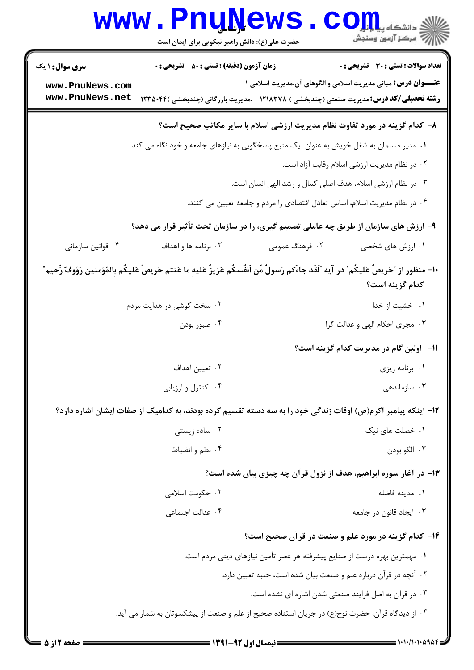|                                                              | <b>www.PnuNews</b><br>حضرت علی(ع): دانش راهبر نیکویی برای ایمان است                                                                                                                     |                                                                                                                                                                                                        | ان دانشڪاه پيا <mark>ہوا کو</mark><br>ان مرکز آزمون وسنجش                                                             |
|--------------------------------------------------------------|-----------------------------------------------------------------------------------------------------------------------------------------------------------------------------------------|--------------------------------------------------------------------------------------------------------------------------------------------------------------------------------------------------------|-----------------------------------------------------------------------------------------------------------------------|
| <b>سری سوال : ۱ یک</b><br>www.PnuNews.com<br>www.PnuNews.net | <b>زمان آزمون (دقیقه) : تستی : 50 ٪ تشریحی : 0</b><br><b>رشته تحصیلی/کد درس:</b> مدیریت صنعتی (چندبخشی ) ۱۲۱۸۳۷۸ - ،مدیریت بازرگانی (چندبخشی )۱۲۳۵۰۴۴                                   |                                                                                                                                                                                                        | <b>تعداد سوالات : تستی : 30 ٪ تشریحی : 0</b><br><b>عنـــوان درس:</b> مبانی مدیریت اسلامی و الگوهای آن،مدیریت اسلامی ۱ |
|                                                              | ۰۱ مدیر مسلمان به شغل خویش به عنوان ۖ یک منبع پاسخگویی به نیازهای جامعه و خود نگاه می کند.                                                                                              | ۸– کدام گزینه در مورد تفاوت نظام مدیریت ارزشی اسلام با سایر مکاتب صحیح است؟<br>۰۳ در نظام ارزشی اسلام، هدف اصلی کمال و رشد الهی انسان است.                                                             | ۰۲ در نظام مدیریت ارزشی اسلام رقابت آزاد است.                                                                         |
| ۰۴ قوانین سازمانی                                            | ۹- ارزش های سازمان از طریق چه عاملی تصمیم گیری، را در سازمان تحت تأثیر قرار می دهد؟<br>۰۳ برنامه ها و اهداف                                                                             | ۰۴ در نظام مدیریت اسلام، اساس تعادل اقتصادی را مردم و جامعه تعیین می کنند.<br>۰۲ فرهنگ عمومی                                                                                                           | ۰۱ ارزش های شخصی                                                                                                      |
|                                                              | ∙١- منظور از ″حَريصٌ عَليكُم″ در آيه ″لَقَد جاءَكم رَسولٌ مِّن اَنفُسكُم عَزِيزٌ عَليهِ ما عَنتم حَريصٌ عَليكُم بِالمُؤمنين رَؤوفٌ رِّحيم″<br>۰۲ سخت کوشی در هدایت مردم<br>۰۴ صبور بودن |                                                                                                                                                                                                        | كدام گزينه است؟<br>۰۱ خشیت از خدا<br>۰۳ مجری احکام الهی و عدالت گرا                                                   |
|                                                              | ۰۲ تعیین اهداف<br>۰۴ کنترل و ارزیابی                                                                                                                                                    |                                                                                                                                                                                                        | 11– اولین گام در مدیریت کدام گزینه است؟<br>۰۱ برنامه ریزی<br>۰۳ سازماندهی                                             |
|                                                              | ۱۲– اینکه پیامبر اکرم(ص) اوقات زندگی خود را به سه دسته تقسیم کرده بودند، به کدامیک از صفات ایشان اشاره دارد؟<br>۰۲ ساده زیستی<br>۰۴ نظم و انضباط                                        | ۱۳- در آغاز سوره ابراهیم، هدف از نزول قرآن چه چیزی بیان شده است؟                                                                                                                                       | ۰۱ خصلت های نیک<br>۰۳ الگو بودن                                                                                       |
|                                                              | ۰۲ حکومت اسلامی<br>۰۴ عدالت اجتماعی                                                                                                                                                     | ۱۴- کدام گزینه در مورد علم و صنعت در قرآن صحیح است؟                                                                                                                                                    | ٠١. مدينه فاضله<br>۰۳ ایجاد قانون در جامعه                                                                            |
|                                                              | ۰۴ از دیدگاه قرآن، حضرت نوح(ع) در جریان استفاده صحیح از علم و صنعت از پیشکسوتان به شمار می آید.                                                                                         | ۰۱ مهمترین بهره درست از صنایع پیشرفته هر عصر تأمین نیازهای دینی مردم است.<br>۰۲ آنچه در قرآن درباره علم و صنعت بیان شده است، جنبه تعیین دارد.<br>۰۳ در قرآن به اصل فرایند صنعتی شدن اشاره ای نشده است. |                                                                                                                       |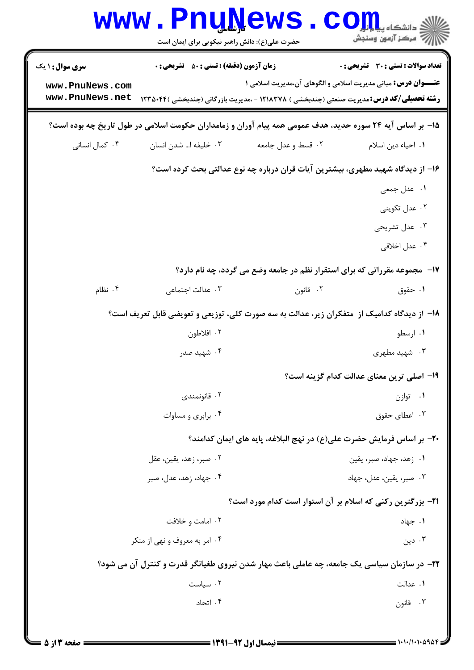| <b>WWW</b>                                                   | <b>Lunivemp</b><br>حضرت علی(ع): دانش راهبر نیکویی برای ایمان است |                                                                                                                                                                         | ن دانشڪاه پ <b>ياي<mark>ا</mark>ء</b><br>7' مرڪز آزمون وسنڊش |
|--------------------------------------------------------------|------------------------------------------------------------------|-------------------------------------------------------------------------------------------------------------------------------------------------------------------------|--------------------------------------------------------------|
| <b>سری سوال : ۱ یک</b><br>www.PnuNews.com<br>www.PnuNews.net | <b>زمان آزمون (دقیقه) : تستی : 50 ٪ تشریحی : 0</b>               | <b>عنـــوان درس:</b> مبانی مدیریت اسلامی و الگوهای آن،مدیریت اسلامی ۱<br><b>رشته تحصیلی/کد درس:</b> مدیریت صنعتی (چندبخشی ) ۱۲۱۸۳۷۸ - ،مدیریت بازرگانی (چندبخشی )۲۳۵۰۴۴ | <b>تعداد سوالات : تستی : 30 ٪ تشریحی : 0</b>                 |
|                                                              |                                                                  | ۱۵– بر اساس آیه ۲۴ سوره حدید، هدف عمومی همه پیام آوران و زمامداران حکومت اسلامی در طول تاریخ چه بوده است؟                                                               |                                                              |
| ۰۴ کمال انسانی                                               | ۰۳ خلیفه ا… شدن انسان                                            | ۰۲ قسط و عدل جامعه                                                                                                                                                      | ٠١. احياء دين اسلام                                          |
|                                                              |                                                                  | ۱۶– از دیدگاه شهید مطهری، بیشترین آیات قران درباره چه نوع عدالتی بحث کرده است؟                                                                                          |                                                              |
|                                                              |                                                                  |                                                                                                                                                                         | ۰۱ عدل جمعی                                                  |
|                                                              |                                                                  |                                                                                                                                                                         | ۰۲ عدل تکوینی                                                |
|                                                              |                                                                  |                                                                                                                                                                         | ۰۳ عدل تشریحی                                                |
|                                                              |                                                                  |                                                                                                                                                                         | ۰۴ عدل اخلاقی                                                |
|                                                              |                                                                  | ۱۷- ً مجموعه مقرراتی که برای استقرار نظم در جامعه وضع می گردد، چه نام دارد؟                                                                                             |                                                              |
| ۰۴ نظام                                                      | ۰۳ عدالت اجتماعی                                                 | ۰۲ قانون                                                                                                                                                                | ۰۱ حقوق                                                      |
|                                                              |                                                                  | <b>۱۸</b> - از دیدگاه کدامیک از  متفکران زیر، عدالت به سه صورت کلی، توزیعی و تعویضی قابل تعریف است؟                                                                     |                                                              |
|                                                              | ۰۲ افلاطون                                                       |                                                                                                                                                                         | ۰۱ ارسطو                                                     |
|                                                              | ۰۴ شهید صدر                                                      |                                                                                                                                                                         | ۰۳ شهید مطهری                                                |
|                                                              |                                                                  |                                                                                                                                                                         | ۱۹– اصلی ترین معنای عدالت کدام گزینه است؟                    |
|                                                              | ۰۲ قانونمندی                                                     |                                                                                                                                                                         | ۰۱ توازن                                                     |
|                                                              | ۰۴ برابری و مساوات                                               |                                                                                                                                                                         | ۰۳ اعطای حقوق                                                |
|                                                              |                                                                  | ۲۰– بر اساس فرمایش حضرت علی(ع) در نهج البلاغه، پایه های ایمان کدامند؟                                                                                                   |                                                              |
|                                                              | ۰۲ صبر، زهد، یقین، عقل                                           |                                                                                                                                                                         | ۰۱ زهد، جهاد، صبر، یقین                                      |
|                                                              | ۰۴ جهاد، زهد، عدل، صبر                                           |                                                                                                                                                                         | ۰۳ صبر، یقین، عدل، جهاد                                      |
|                                                              |                                                                  | <b>۲۱</b> - بزرگترین رکنی که اسلام بر آن استوار است کدام مورد است؟                                                                                                      |                                                              |
|                                                              | ۰۲ امامت و خلافت                                                 |                                                                                                                                                                         | ۰۱ جهاد                                                      |
|                                                              | ۰۴ امر به معروف و نهی از منکر                                    |                                                                                                                                                                         | ۰۳ دین                                                       |
|                                                              |                                                                  | ۲۲- در سازمان سیاسی یک جامعه، چه عاملی باعث مهار شدن نیروی طغیانگر قدرت و کنترل آن می شود؟                                                                              |                                                              |
|                                                              | ۰۲ سیاست                                                         |                                                                                                                                                                         | ۰۱ عدالت                                                     |
|                                                              | ۰۴ اتحاد                                                         |                                                                                                                                                                         | ۰۳ قانون                                                     |
|                                                              |                                                                  |                                                                                                                                                                         |                                                              |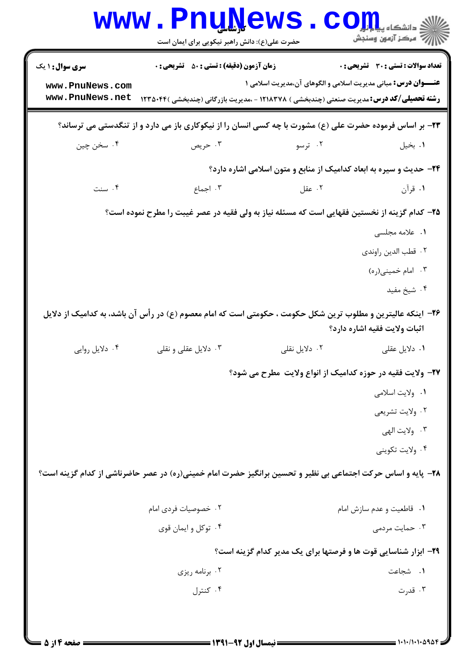| <b>WWW</b>                                                   | <b>Pnunews</b><br>حضرت علی(ع): دانش راهبر نیکویی برای ایمان است                                                                                       |                                                                            | د دانشکاه پ <b>یا یا یار</b><br>رِ آرمون وسنڊش |
|--------------------------------------------------------------|-------------------------------------------------------------------------------------------------------------------------------------------------------|----------------------------------------------------------------------------|------------------------------------------------|
| <b>سری سوال : ۱ یک</b><br>www.PnuNews.com<br>www.PnuNews.net | <b>زمان آزمون (دقیقه) : تستی : 50 ٪ تشریحی : 0</b><br><b>رشته تحصیلی/کد درس:</b> مدیریت صنعتی (چندبخشی ) ۱۲۱۸۳۷۸ - ،مدیریت بازرگانی (چندبخشی )۱۲۳۵۰۴۴ | <b>عنـــوان درس:</b> مبانی مدیریت اسلامی و الگوهای آن،مدیریت اسلامی ۱      | تعداد سوالات : تستي : 30 ٪ تشريحي : 0          |
|                                                              | ۲۳- بر اساس فرموده حضرت علی (ع) مشورت با چه کسی انسان را از نیکوکاری باز می دارد و از تنگدستی می ترساند؟                                              |                                                                            |                                                |
| ۰۴ سخن چين                                                   | ۰۳ حريص                                                                                                                                               | ۰۲ ترسو                                                                    | ۰۱ بخیل                                        |
|                                                              |                                                                                                                                                       | <b>۲۴</b> - حدیث و سیره به ابعاد کدامیک از منابع و متون اسلامی اشاره دارد؟ |                                                |
| ۰۴ سنت                                                       | ۰۳ اجماع                                                                                                                                              | ۰۲ عقل                                                                     | ۰۱ قرآن                                        |
|                                                              | ۲۵– کدام گزینه از نخستین فقهایی است که مسئله نیاز به ولی فقیه در عصر غیبت را مطرح نموده است؟                                                          |                                                                            |                                                |
|                                                              |                                                                                                                                                       |                                                                            | ٠١ علامه مجلسى                                 |
|                                                              |                                                                                                                                                       |                                                                            | ٠٢ قطب الدين راوندي                            |
|                                                              |                                                                                                                                                       |                                                                            | ۰۳ امام خمینی(ره)                              |
|                                                              |                                                                                                                                                       |                                                                            | ۰۴ شیخ مفید                                    |
|                                                              | ۲۶– اینکه عالیترین و مطلوب ترین شکل حکومت ، حکومتی است که امام معصوم (ع) در رأس آن باشد، به کدامیک از دلایل                                           |                                                                            | اثبات ولايت فقيه اشاره دارد؟                   |
| ۰۴ دلایل روایی                                               | ۰۳ دلایل عقلی و نقلی                                                                                                                                  | ۰۲ دلایل نقلی                                                              | ۰۱ دلایل عقلی                                  |
|                                                              |                                                                                                                                                       | ۲۷- ولایت فقیه در حوزه کدامیک از انواع ولایت مطرح می شود؟                  |                                                |
|                                                              |                                                                                                                                                       |                                                                            | ٠١ ولايت اسلامي                                |
|                                                              |                                                                                                                                                       |                                                                            | ۰۲ ولايت تشريعي                                |
|                                                              |                                                                                                                                                       |                                                                            | ۰۳ ولايت الهي                                  |
|                                                              |                                                                                                                                                       |                                                                            | ۰۴ ولايت تكويني                                |
|                                                              | ۲۸– پایه و اساس حرکت اجتماعی بی نظیر و تحسین برانگیز حضرت امام خمینی(ره) در عصر حاضرناشی از کدام گزینه است؟                                           |                                                                            |                                                |
|                                                              | ۰۲ خصوصیات فردی امام                                                                                                                                  |                                                                            | ٠١ قاطعيت و عدم سازش امام                      |
|                                                              | ۰۴ توکل و ايمان قوي                                                                                                                                   |                                                                            | ۰۳ حمایت مردمی                                 |
|                                                              |                                                                                                                                                       | ۲۹- ابزار شناسایی قوت ها و فرصتها برای یک مدیر کدام گزینه است؟             |                                                |
|                                                              | ۰۲ برنامه ریزی                                                                                                                                        |                                                                            | ۰۱ شجاعت                                       |
|                                                              | ۰۴ کنترل                                                                                                                                              |                                                                            | ۰۳ قدرت                                        |
|                                                              |                                                                                                                                                       |                                                                            |                                                |
|                                                              |                                                                                                                                                       |                                                                            |                                                |